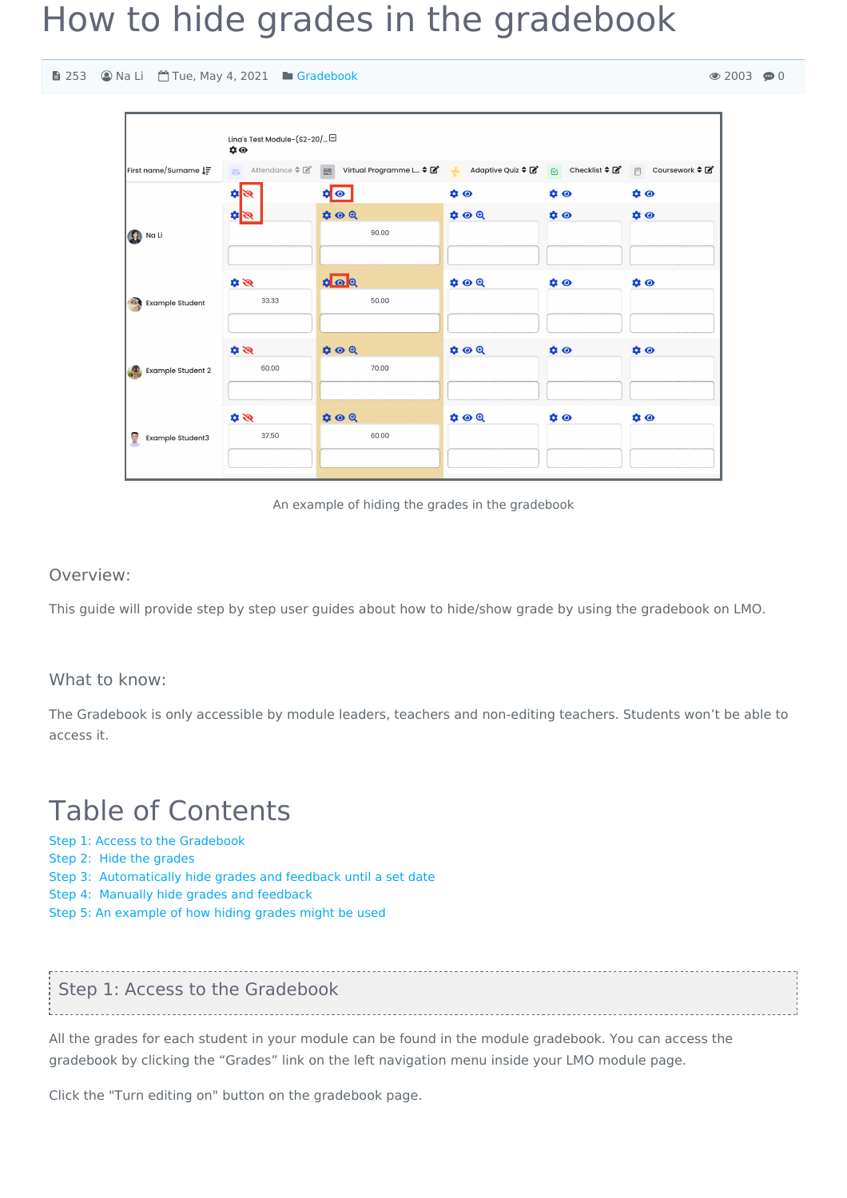# How to hide grades in the gradebook

253 Na Li Tue, May 4, 2021 [Gradebook](https://knowledgebase.xjtlu.edu.cn/category/the-learning-mall/guide-for-staff/activities-and-resources/gradebook/41/)

|                               | Lina's Test Module-(S2-20/□<br>$\mathbf{\dot{\alpha}} \odot$ |                                                                                                                |                     |           |                                     |
|-------------------------------|--------------------------------------------------------------|----------------------------------------------------------------------------------------------------------------|---------------------|-----------|-------------------------------------|
| First name/Surname IF         |                                                              | ※ Attendance ≑ <i>B</i>   B Virtual Programme L ≑ B   우 Adaptive Quiz ≑ B   G Checklist ≑ B   F Coursework ≑ B |                     |           |                                     |
|                               | গ্ৰহ                                                         | $\circ$                                                                                                        | $\phi$              | $\phi$    | $\bullet$                           |
|                               | $\mathfrak{a}$                                               | $\phi \odot \theta$                                                                                            | $\phi \circ \theta$ | $\bullet$ | $\phi$                              |
| <b>Q</b> Na Li                |                                                              | 90.00                                                                                                          |                     |           |                                     |
|                               |                                                              |                                                                                                                |                     |           |                                     |
|                               | $\mathscr{B}$                                                | $\circ$ $\circ$ $\circ$                                                                                        | $\phi \circ \theta$ | $\phi$    | $\phi$                              |
| <b>Example Student</b>        | 33.33                                                        | 50.00                                                                                                          |                     |           |                                     |
|                               |                                                              |                                                                                                                |                     |           |                                     |
| Example Student 2             | $\mathscr{B}$                                                | $\phi \circ \theta$                                                                                            | $\phi \circ \theta$ | $\phi$    | $\phi$                              |
|                               | 60.00                                                        | 70.00                                                                                                          |                     |           |                                     |
|                               |                                                              |                                                                                                                |                     |           |                                     |
| <b>RE</b><br>Example Student3 | $\mathscr{B}$                                                | $\phi \odot \theta$                                                                                            | $\phi \circ \theta$ | $\bullet$ | $\mathbf{\hat{a}}$ $\mathbf{\odot}$ |
|                               | 37.50                                                        | 60.00                                                                                                          |                     |           |                                     |
|                               |                                                              |                                                                                                                |                     |           |                                     |

An example of hiding the grades in the gradebook

#### Overview:

This guide will provide step by step user guides about how to hide/show grade by using the gradebook on LMO.

#### What to know:

The Gradebook is only accessible by module leaders, teachers and non-editing teachers. Students won't be able to access it.

## Table of Contents

Step 1: Access to the [Gradebook](#page-0-0)

- Step 2: Hide the [grades](#page-1-0)
- Step 3: [Automatically](#page-1-1) hide grades and feedback until a set date
- Step 4: Manually hide grades and [feedback](#page-2-0)
- Step 5: An [example](#page-3-0) of how hiding grades might be used

### <span id="page-0-0"></span>Step 1: Access to the Gradebook

All the grades for each student in your module can be found in the module gradebook. You can access the gradebook by clicking the "Grades" link on the left navigation menu inside your LMO module page.

Click the "Turn editing on" button on the gradebook page.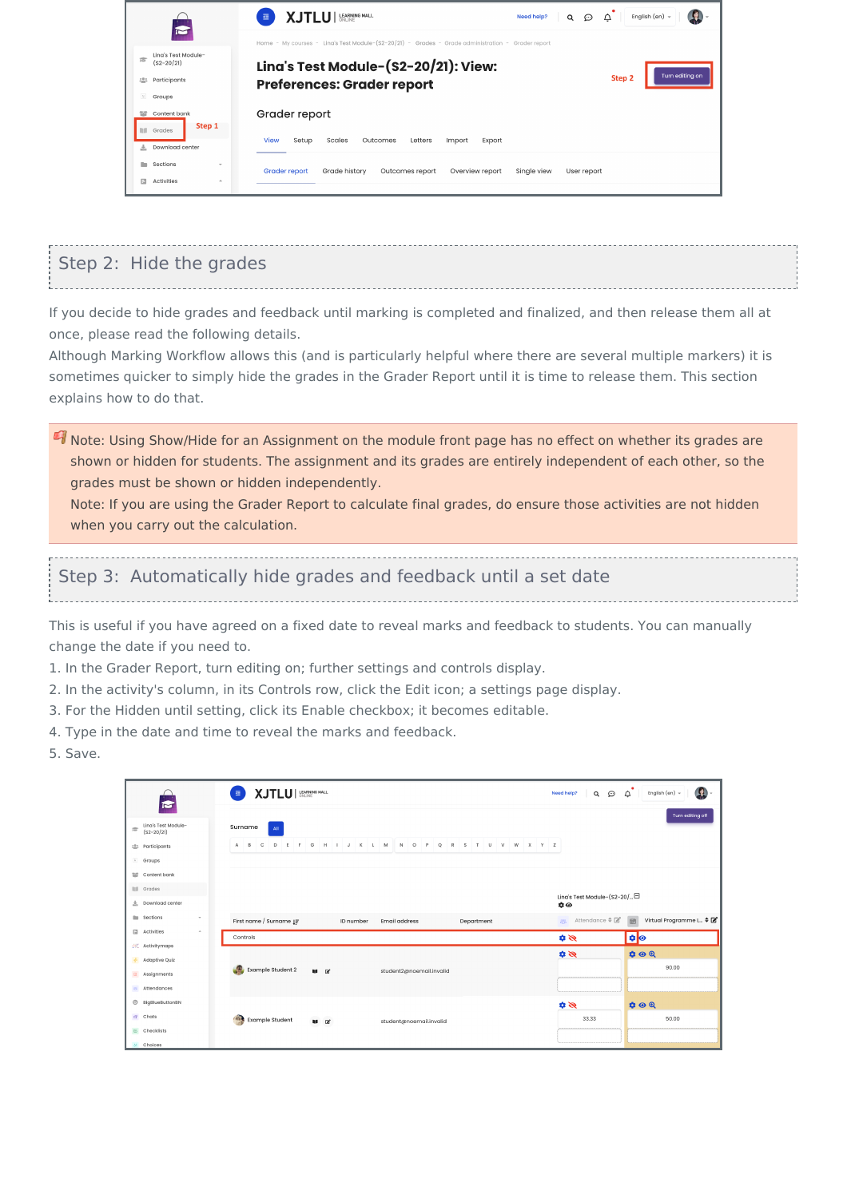| S                                                                                                      | <b>LEARNING MALL</b><br>XJTI III<br>English (en) =<br>Need help?<br>Δ<br>彊<br>⊙<br>Q                                                                                                                        |
|--------------------------------------------------------------------------------------------------------|-------------------------------------------------------------------------------------------------------------------------------------------------------------------------------------------------------------|
| Ling's Test Module-<br>擂<br>$(S2 - 20/21)$<br>Participants<br><b>225</b><br>$\Omega_{\rm L}$<br>Groups | Home - My courses - Lina's Test Module-(S2-20/21) - Grades - Grade administration - Grader report<br>Lina's Test Module-(S2-20/21): View:<br>Turn editing on<br>Step 2<br><b>Preferences: Grader report</b> |
| Content bank<br>警<br>Step 1<br>mm<br>Grades                                                            | Grader report<br><b>View</b><br>Setup<br>Scales<br>Outcomes<br>Letters<br>Import<br>Export                                                                                                                  |
| Download center<br>ż.<br>Sections<br>m<br>$\rightarrow$<br>冃<br>Activities<br>$\Delta$                 | <b>Grader report</b><br>Grade history<br>Overview report<br>Outcomes report<br>Single view<br>User report                                                                                                   |

### <span id="page-1-0"></span>Step 2: Hide the grades

If you decide to hide grades and feedback until marking is completed and finalized, and then release them all at once, please read the following details.

Although Marking Workflow allows this (and is particularly helpful where there are several multiple markers) it is sometimes quicker to simply hide the grades in the Grader Report until it is time to release them. This section explains how to do that.

**I** Note: Using Show/Hide for an Assignment on the module front page has no effect on whether its grades are shown or hidden for students. The assignment and its grades are entirely independent of each other, so the grades must be shown or hidden independently.

Note: If you are using the Grader Report to calculate final grades, do ensure those activities are not hidden when you carry out the calculation.

### <span id="page-1-1"></span>Step 3: Automatically hide grades and feedback until a set date

This is useful if you have agreed on a fixed date to reveal marks and feedback to students. You can manually change the date if you need to.

- 1. In the Grader Report, turn editing on; further settings and controls display.
- 2. In the activity's column, in its Controls row, click the Edit icon; a settings page display.
- 3. For the Hidden until setting, click its Enable checkbox; it becomes editable.
- 4. Type in the date and time to reveal the marks and feedback.
- 5. Save.

| 后                             | XJTLU   LEARNING MALL<br>Œ.                                                                                 | Đ<br>$\alpha$<br>Need help?           | $\Omega$<br>$\Delta$<br>English (en) =     |
|-------------------------------|-------------------------------------------------------------------------------------------------------------|---------------------------------------|--------------------------------------------|
| Ling's Test Module-<br>肅      | Surname<br>$\mathbf{All}$                                                                                   |                                       | Turn editing off                           |
| $(S2 - 20/21)$                |                                                                                                             |                                       |                                            |
| : <sup>0</sup> : Participants | $E$ $F$ $G$ $H$ $I$ $J$ $K$ $L$ $M$ $N$ $O$ $P$ $Q$ $R$ $S$ $T$ $U$ $V$ $W$ $X$ $Y$ $Z$<br>$A$ $B$ $C$<br>D |                                       |                                            |
| <sup>1</sup> Groups           |                                                                                                             |                                       |                                            |
| <b>THE</b> Content bank       |                                                                                                             |                                       |                                            |
| <b>III</b> Grades             |                                                                                                             |                                       |                                            |
| 土 Download center             |                                                                                                             | Lina's Test Module-(S2-20/□<br>$\phi$ |                                            |
| <b>Exections</b><br>$\tau$    | First name / Surname [F]<br>ID number<br><b>Email address</b><br>Department                                 | Attendance ≑ Z<br>$rac{280}{620}$     | 圖<br>Virtual Programme L $\triangleq \Box$ |
| Activities<br>$\Delta$        | Controls                                                                                                    | $\mathscr{B}$                         | ≎ ⊙                                        |
| $\exists$ Activitymaps        |                                                                                                             |                                       |                                            |
| + Adaptive Quiz               |                                                                                                             | $\mathscr{B}$                         | $\phi \odot \theta$                        |
| a Assignments                 | e Co<br>Example Student 2<br>$\mathbf{u} \cdot \mathbf{z}$<br>student2@noemail.invalid                      |                                       | 90.00                                      |
| a Attendances                 |                                                                                                             |                                       |                                            |
| <b>BigBlueButtonBN</b>        |                                                                                                             | $\mathscr{B}$                         | $\phi \odot \theta$                        |
| $\theta$ Chats                | <b>Example Student</b><br>$\mathbf{u} \cdot \mathbf{z}$<br>student@noemail.invalid                          | 33.33                                 | 50.00                                      |
| <b>B</b> Checklists           |                                                                                                             |                                       |                                            |
| & Choices                     |                                                                                                             |                                       |                                            |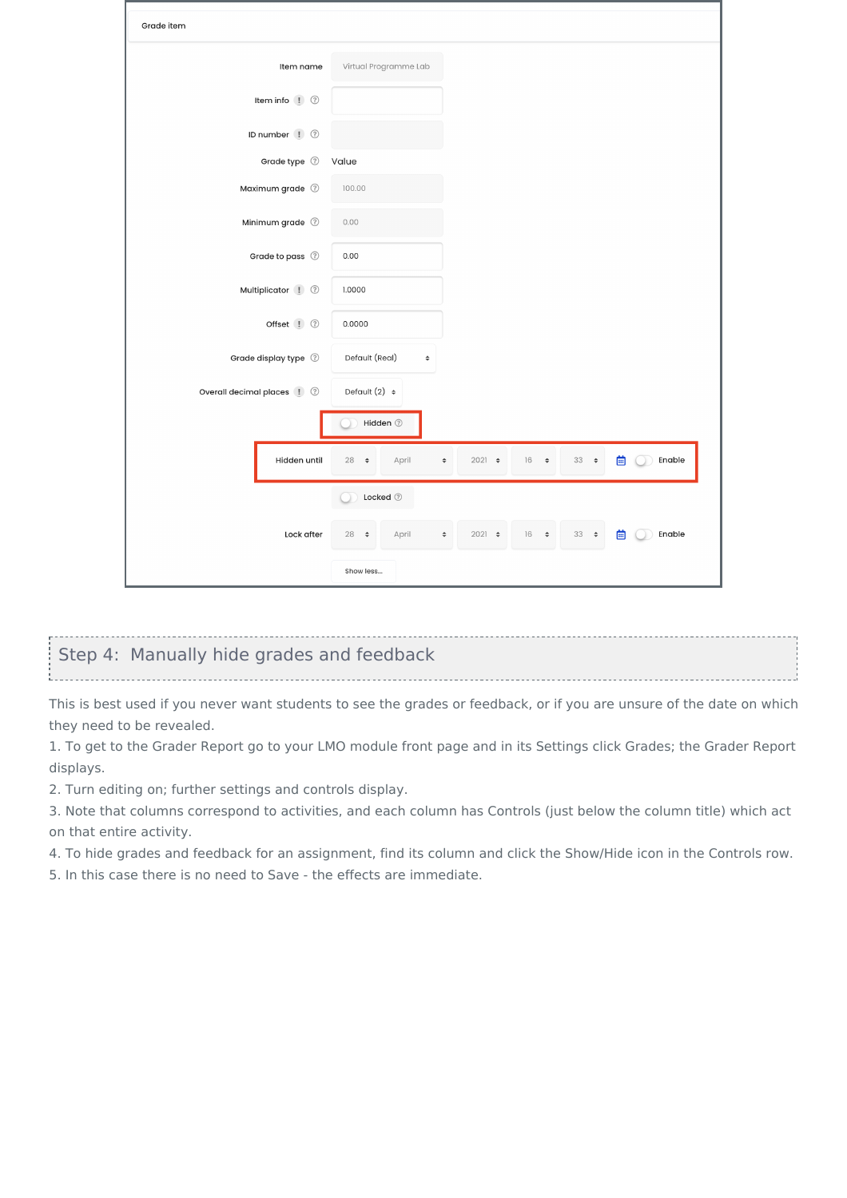| Grade item                   |                                                                                                                   |
|------------------------------|-------------------------------------------------------------------------------------------------------------------|
| Item name                    | Virtual Programme Lab                                                                                             |
| Item info ! 2                |                                                                                                                   |
| ID number (! 2               |                                                                                                                   |
| Grade type 2                 | Value                                                                                                             |
| Maximum grade 2              | 100.00                                                                                                            |
| Minimum grade 2              | 0.00                                                                                                              |
| Grade to pass 2              | 0.00                                                                                                              |
| Multiplicator ! ?            | 1.0000                                                                                                            |
| Offset ! 2                   | 0.0000                                                                                                            |
| Grade display type 2         | Default (Real)<br>$\hat{\mathbb{I}}$                                                                              |
| Overall decimal places (1) 2 | Default $(2)$ $\div$                                                                                              |
|                              | Hidden 2                                                                                                          |
| Hidden until                 | 曲<br>28<br>April<br>$33 \div$<br>Enable<br>$\Rightarrow$<br>$2021$ $\div$<br>16<br>$\Rightarrow$<br>$\Rightarrow$ |
|                              | Locked ②                                                                                                          |
| Lock after                   | $33 \div$<br>$28 \div$<br>$2021$ $\div$<br>$16 +$<br>曲<br>Enable<br>April<br>$\hat{\mathbb{L}}$                   |
|                              | Show less                                                                                                         |

#### <span id="page-2-0"></span>Step 4: Manually hide grades and feedback

This is best used if you never want students to see the grades or feedback, or if you are unsure of the date on which they need to be revealed.

1. To get to the Grader Report go to your LMO module front page and in its Settings click Grades; the Grader Report displays.

2. Turn editing on; further settings and controls display.

3. Note that columns correspond to activities, and each column has Controls (just below the column title) which act on that entire activity.

4. To hide grades and feedback for an assignment, find its column and click the Show/Hide icon in the Controls row.

5. In this case there is no need to Save - the effects are immediate.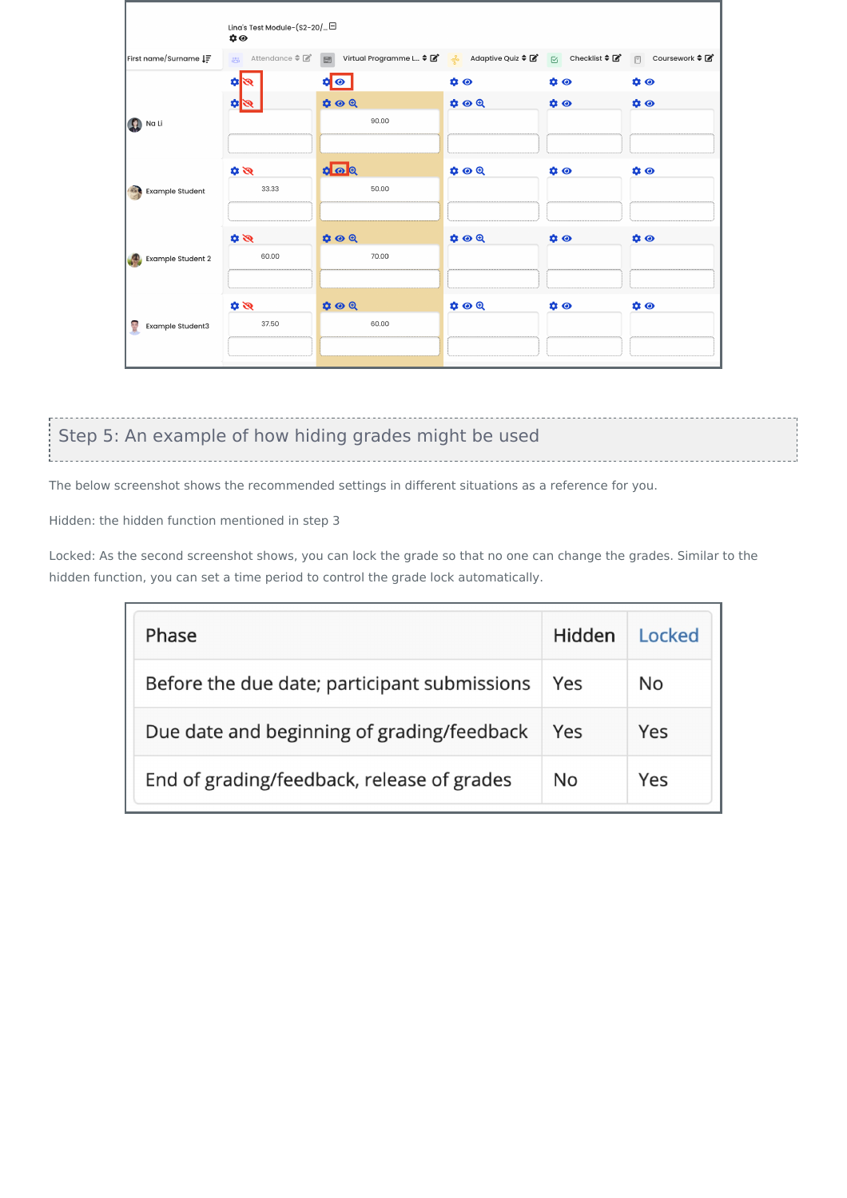|                        | Lina's Test Module-(S2-20/□<br>$\boldsymbol{\dot{\alpha}}$ $\boldsymbol{\odot}$ |                                                                                                                          |                     |           |                                     |
|------------------------|---------------------------------------------------------------------------------|--------------------------------------------------------------------------------------------------------------------------|---------------------|-----------|-------------------------------------|
| First name/Surname IF  |                                                                                 | 2% Attendance ≑ <i>대</i> E Virtual Programme L ≑ 대 - Adaptive Quiz ≑ 대 · C Checklist ≑ 대 · <sub>한</sub> Coursework ≑ 대 · |                     |           |                                     |
|                        | $\mathscr{B}$ s                                                                 | $\bullet$                                                                                                                | $\phi$              | $\bullet$ | $\mathbf{\hat{a}}$ $\mathbf{\odot}$ |
|                        | $\mathscr{B}[\mathfrak{p}]$                                                     | $\phi \circ \theta$                                                                                                      | $\phi \circ \theta$ | $\phi$ or | $\phi$                              |
| Na Li                  |                                                                                 | 90.00                                                                                                                    |                     |           |                                     |
|                        |                                                                                 |                                                                                                                          |                     |           |                                     |
|                        | $\mathscr{B}$                                                                   | $\frac{1}{2}$                                                                                                            | $\phi \circ \theta$ | $\phi$    | $\bullet$                           |
| <b>Example Student</b> | 33.33                                                                           | 50.00                                                                                                                    |                     |           |                                     |
|                        |                                                                                 |                                                                                                                          |                     |           |                                     |
|                        | $\mathscr{B}$                                                                   | $\phi \circ \theta$                                                                                                      | $\phi \odot \theta$ | $\phi$    | $\phi$                              |
| Example Student 2      | 60.00                                                                           | 70.00                                                                                                                    |                     |           |                                     |
|                        |                                                                                 |                                                                                                                          |                     |           |                                     |
| 雪<br>Example Student3  | $\mathscr{B}$                                                                   | $\bullet \bullet \bullet$                                                                                                | $\phi \circ \theta$ | $\bullet$ | $\boldsymbol{\alpha} \bullet$       |
|                        | 37.50                                                                           | 60.00                                                                                                                    |                     |           |                                     |
|                        |                                                                                 |                                                                                                                          |                     |           |                                     |

## <span id="page-3-0"></span>Step 5: An example of how hiding grades might be used

The below screenshot shows the recommended settings in different situations as a reference for you.

Hidden: the hidden function mentioned in step 3

Locked: As the second screenshot shows, you can lock the grade so that no one can change the grades. Similar to the hidden function, you can set a time period to control the grade lock automatically.

| Phase                                        | Hidden | Locked |
|----------------------------------------------|--------|--------|
| Before the due date; participant submissions | Yes    | No     |
| Due date and beginning of grading/feedback   | Yes    | Yes    |
| End of grading/feedback, release of grades   | No.    | Yes    |